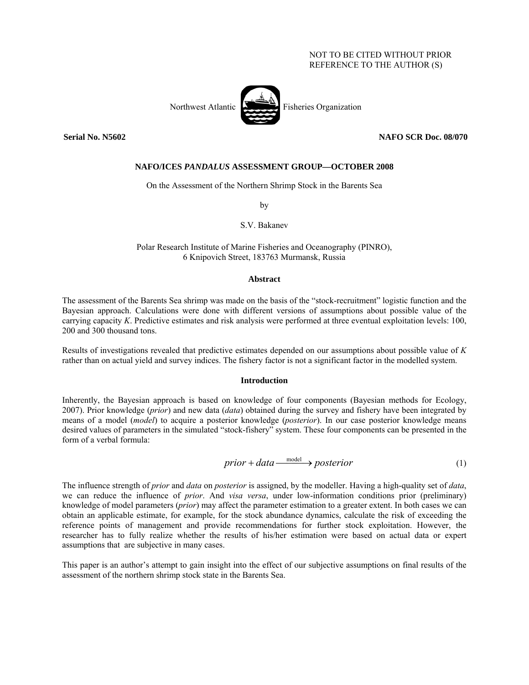# NOT TO BE CITED WITHOUT PRIOR REFERENCE TO THE AUTHOR (S)



## **Serial No. N5602 NAFO SCR Doc. 08/070**

## **NAFO/ICES** *PANDALUS* **ASSESSMENT GROUP—OCTOBER 2008**

On the Assessment of the Northern Shrimp Stock in the Barents Sea

by

S.V. Bakanev

# Polar Research Institute of Marine Fisheries and Oceanography (PINRO), 6 Knipovich Street, 183763 Murmansk, Russia

### **Abstract**

The assessment of the Barents Sea shrimp was made on the basis of the "stock-recruitment" logistic function and the Bayesian approach. Calculations were done with different versions of assumptions about possible value of the carrying capacity *K*. Predictive estimates and risk analysis were performed at three eventual exploitation levels: 100, 200 and 300 thousand tons.

Results of investigations revealed that predictive estimates depended on our assumptions about possible value of *K* rather than on actual yield and survey indices. The fishery factor is not a significant factor in the modelled system.

# **Introduction**

Inherently, the Bayesian approach is based on knowledge of four components (Bayesian methods for Ecology, 2007). Prior knowledge (*prior*) and new data (*data*) obtained during the survey and fishery have been integrated by means of a model (*model*) to acquire a posterior knowledge (*posterior*). In our case posterior knowledge means desired values of parameters in the simulated "stock-fishery" system. These four components can be presented in the form of a verbal formula:

 $prior + data \xrightarrow{model} posterior$  (1)

The influence strength of *prior* and *data* on *posterior* is assigned, by the modeller. Having a high-quality set of *data*, we can reduce the influence of *prior*. And *visa versa*, under low-information conditions prior (preliminary) knowledge of model parameters (*prior*) may affect the parameter estimation to a greater extent. In both cases we can obtain an applicable estimate, for example, for the stock abundance dynamics, calculate the risk of exceeding the reference points of management and provide recommendations for further stock exploitation. However, the researcher has to fully realize whether the results of his/her estimation were based on actual data or expert assumptions that are subjective in many cases.

This paper is an author's attempt to gain insight into the effect of our subjective assumptions on final results of the assessment of the northern shrimp stock state in the Barents Sea.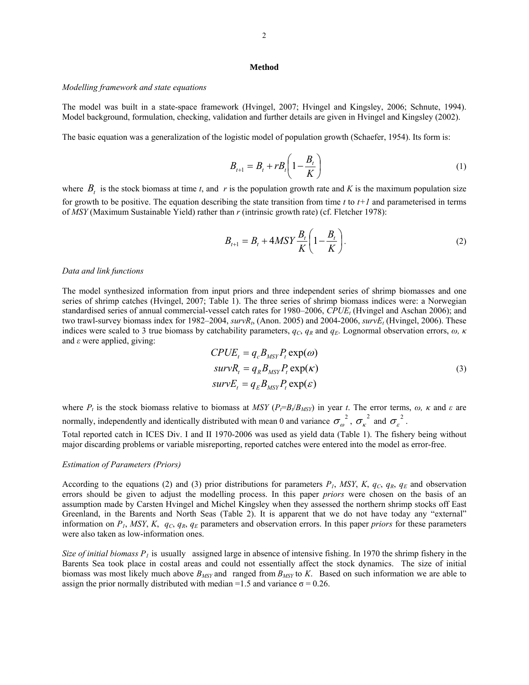#### **Method**

#### *Modelling framework and state equations*

The model was built in a state-space framework (Hvingel, 2007; Hvingel and Kingsley, 2006; Schnute, 1994). Model background, formulation, checking, validation and further details are given in Hvingel and Kingsley (2002).

The basic equation was a generalization of the logistic model of population growth (Schaefer, 1954). Its form is:

$$
B_{t+1} = B_t + rB_t \left(1 - \frac{B_t}{K}\right) \tag{1}
$$

where  $B_t$  is the stock biomass at time *t*, and *r* is the population growth rate and *K* is the maximum population size for growth to be positive. The equation describing the state transition from time  $t$  to  $t+1$  and parameterised in terms of *MSY* (Maximum Sustainable Yield) rather than *r* (intrinsic growth rate) (cf. Fletcher 1978):

$$
B_{t+1} = B_t + 4MSY \frac{B_t}{K} \left( 1 - \frac{B_t}{K} \right). \tag{2}
$$

### *Data and link functions*

The model synthesized information from input priors and three independent series of shrimp biomasses and one series of shrimp catches (Hvingel, 2007; Table 1). The three series of shrimp biomass indices were: a Norwegian standardised series of annual commercial-vessel catch rates for 1980–2006, *CPUE<sub>t</sub>* (Hvingel and Aschan 2006); and two trawl-survey biomass index for 1982–2004,  $\frac{survR_t}{(A \text{non. } 2005)}$  and 2004-2006,  $\frac{survE_t}{(H \text{vingel, } 2006)}$ . These indices were scaled to 3 true biomass by catchability parameters,  $q_c$ ,  $q_R$  and  $q_E$ . Lognormal observation errors,  $\omega$ ,  $\kappa$ and *ε* were applied, giving:

$$
CPUE_t = q_c B_{MSY} P_t \exp(\omega)
$$
  
\n
$$
survR_t = q_R B_{MSY} P_t \exp(\kappa)
$$
  
\n
$$
survE_t = q_E B_{MSY} P_t \exp(\varepsilon)
$$
\n(3)

where  $P_t$  is the stock biomass relative to biomass at *MSY* ( $P_t = B_t / B_{MSY}$ ) in year *t*. The error terms,  $\omega$ ,  $\kappa$  and  $\varepsilon$  are normally, independently and identically distributed with mean 0 and variance  $\sigma_\omega^2$ ,  $\sigma_\kappa^2$  and  $\sigma_\varepsilon^2$ .

Total reported catch in ICES Div. I and II 1970-2006 was used as yield data (Table 1). The fishery being without major discarding problems or variable misreporting, reported catches were entered into the model as error-free.

### *Estimation of Parameters (Priors)*

According to the equations (2) and (3) prior distributions for parameters  $P_1$ , MSY,  $K$ ,  $q_C$ ,  $q_R$ ,  $q_E$  and observation errors should be given to adjust the modelling process. In this paper *priors* were chosen on the basis of an assumption made by Carsten Hvingel and Michel Kingsley when they assessed the northern shrimp stocks off East Greenland, in the Barents and North Seas (Table 2). It is apparent that we do not have today any "external" information on  $P_1$ , *MSY*, *K*,  $q_C$ ,  $q_R$ ,  $q_E$  parameters and observation errors. In this paper *priors* for these parameters were also taken as low-information ones.

*Size of initial biomass*  $P_1$  is usually assigned large in absence of intensive fishing. In 1970 the shrimp fishery in the Barents Sea took place in costal areas and could not essentially affect the stock dynamics. The size of initial biomass was most likely much above  $B_{MSY}$  and ranged from  $B_{MSY}$  to *K*. Based on such information we are able to assign the prior normally distributed with median =1.5 and variance  $\sigma$  = 0.26.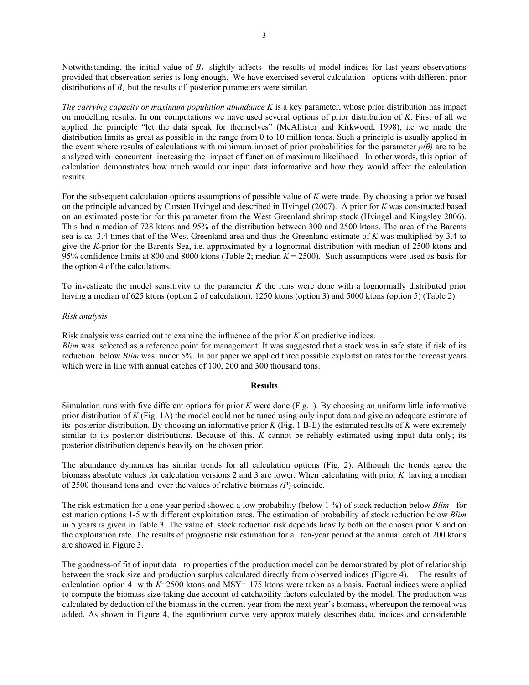Notwithstanding, the initial value of  $B_l$  slightly affects the results of model indices for last years observations provided that observation series is long enough. We have exercised several calculation options with different prior distributions of  $B_1$  but the results of posterior parameters were similar.

*The carrying capacity or maximum population abundance K* is a key parameter, whose prior distribution has impact on modelling results. In our computations we have used several options of prior distribution of *K*. First of all we applied the principle "let the data speak for themselves" (McAllister and Kirkwood, 1998), i.e we made the distribution limits as great as possible in the range from 0 to 10 million tones. Such a principle is usually applied in the event where results of calculations with minimum impact of prior probabilities for the parameter  $p(\theta)$  are to be analyzed with concurrent increasing the impact of function of maximum likelihood In other words, this option of calculation demonstrates how much would our input data informative and how they would affect the calculation results.

For the subsequent calculation options assumptions of possible value of *K* were made. By choosing a prior we based on the principle advanced by Carsten Hvingel and described in Hvingel (2007). A prior for *K* was constructed based on an estimated posterior for this parameter from the West Greenland shrimp stock (Hvingel and Kingsley 2006). This had a median of 728 ktons and 95% of the distribution between 300 and 2500 ktons. The area of the Barents sea is ca. 3.4 times that of the West Greenland area and thus the Greenland estimate of *K* was multiplied by 3.4 to give the *K*-prior for the Barents Sea, i.e. approximated by a lognormal distribution with median of 2500 ktons and 95% confidence limits at 800 and 8000 ktons (Table 2; median *K* = 2500). Such assumptions were used as basis for the option 4 of the calculations.

To investigate the model sensitivity to the parameter *K* the runs were done with a lognormally distributed prior having a median of 625 ktons (option 2 of calculation), 1250 ktons (option 3) and 5000 ktons (option 5) (Table 2).

## *Risk analysis*

Risk analysis was carried out to examine the influence of the prior *K* on predictive indices.

*Blim* was selected as a reference point for management. It was suggested that a stock was in safe state if risk of its reduction below *Blim* was under 5%. In our paper we applied three possible exploitation rates for the forecast years which were in line with annual catches of 100, 200 and 300 thousand tons.

### **Results**

Simulation runs with five different options for prior *K* were done (Fig.1). By choosing an uniform little informative prior distribution of *K* (Fig. 1A) the model could not be tuned using only input data and give an adequate estimate of its posterior distribution. By choosing an informative prior *K* (Fig. 1 B-E) the estimated results of *K* were extremely similar to its posterior distributions. Because of this, *K* cannot be reliably estimated using input data only; its posterior distribution depends heavily on the chosen prior.

The abundance dynamics has similar trends for all calculation options (Fig. 2). Although the trends agree the biomass absolute values for calculation versions 2 and 3 are lower. When calculating with prior *K* having a median of 2500 thousand tons and over the values of relative biomass *(P*) coincide.

The risk estimation for a one-year period showed a low probability (below 1 %) of stock reduction below *Blim* for estimation options 1-5 with different exploitation rates. The estimation of probability of stock reduction below *Blim*  in 5 years is given in Table 3. The value of stock reduction risk depends heavily both on the chosen prior *K* and on the exploitation rate. The results of prognostic risk estimation for a ten-year period at the annual catch of 200 ktons are showed in Figure 3.

The goodness-of fit of input data to properties of the production model can be demonstrated by plot of relationship between the stock size and production surplus calculated directly from observed indices (Figure 4). The results of calculation option 4 with  $K=2500$  ktons and MSY= 175 ktons were taken as a basis. Factual indices were applied to compute the biomass size taking due account of catchability factors calculated by the model. The production was calculated by deduction of the biomass in the current year from the next year's biomass, whereupon the removal was added. As shown in Figure 4, the equilibrium curve very approximately describes data, indices and considerable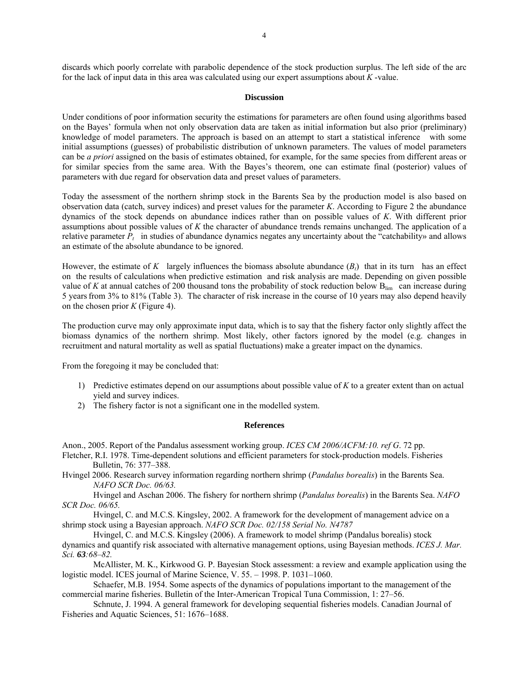discards which poorly correlate with parabolic dependence of the stock production surplus. The left side of the arc for the lack of input data in this area was calculated using our expert assumptions about *K* -value.

#### **Discussion**

Under conditions of poor information security the estimations for parameters are often found using algorithms based on the Bayes' formula when not only observation data are taken as initial information but also prior (preliminary) knowledge of model parameters. The approach is based on an attempt to start a statistical inference with some initial assumptions (guesses) of probabilistic distribution of unknown parameters. The values of model parameters can be *a priori* assigned on the basis of estimates obtained, for example, for the same species from different areas or for similar species from the same area. With the Bayes's theorem, one can estimate final (posterior) values of parameters with due regard for observation data and preset values of parameters.

Today the assessment of the northern shrimp stock in the Barents Sea by the production model is also based on observation data (catch, survey indices) and preset values for the parameter *K*. According to Figure 2 the abundance dynamics of the stock depends on abundance indices rather than on possible values of *K*. With different prior assumptions about possible values of *K* the character of abundance trends remains unchanged. The application of a relative parameter  $P_t$  in studies of abundance dynamics negates any uncertainty about the "catchability» and allows an estimate of the absolute abundance to be ignored.

However, the estimate of  $K$  largely influences the biomass absolute abundance  $(B_t)$  that in its turn has an effect on the results of calculations when predictive estimation and risk analysis are made. Depending on given possible value of *K* at annual catches of 200 thousand tons the probability of stock reduction below  $B_{lim}$  can increase during 5 yearsfrom 3% to 81% (Table 3). The character of risk increase in the course of 10 years may also depend heavily on the chosen prior *K* (Figure 4).

The production curve may only approximate input data, which is to say that the fishery factor only slightly affect the biomass dynamics of the northern shrimp. Most likely, other factors ignored by the model (e.g. changes in recruitment and natural mortality as well as spatial fluctuations) make a greater impact on the dynamics.

From the foregoing it may be concluded that:

- 1) Predictive estimates depend on our assumptions about possible value of *K* to a greater extent than on actual yield and survey indices.
- 2) The fishery factor is not a significant one in the modelled system.

### **References**

Anon., 2005. Report of the Pandalus assessment working group. *ICES CM 2006/ACFM:10. ref G*. 72 pp.

- Fletcher, R.I. 1978. Time-dependent solutions and efficient parameters for stock-production models. Fisheries Bulletin, 76: 377–388.
- Hvingel 2006. Research survey information regarding northern shrimp (*Pandalus borealis*) in the Barents Sea. *NAFO SCR Doc. 06/63.*

Hvingel and Aschan 2006. The fishery for northern shrimp (*Pandalus borealis*) in the Barents Sea. *NAFO SCR Doc. 06/65.* 

Hvingel, C. and M.C.S. Kingsley, 2002. A framework for the development of management advice on a shrimp stock using a Bayesian approach. *NAFO SCR Doc. 02/158 Serial No. N4787* 

Hvingel, C. and M.C.S. Kingsley (2006). A framework to model shrimp (Pandalus borealis) stock dynamics and quantify risk associated with alternative management options, using Bayesian methods. *ICES J. Mar. Sci. 63:68–82.*

McAllister, M. K., Kirkwood G. P. Bayesian Stock assessment: a review and example application using the logistic model. ICES journal of Marine Science, V. 55. - 1998. P. 1031-1060.

Schaefer, M.B. 1954. Some aspects of the dynamics of populations important to the management of the commercial marine fisheries. Bulletin of the Inter-American Tropical Tuna Commission, 1: 27–56.

Schnute, J. 1994. A general framework for developing sequential fisheries models. Canadian Journal of Fisheries and Aquatic Sciences, 51: 1676–1688.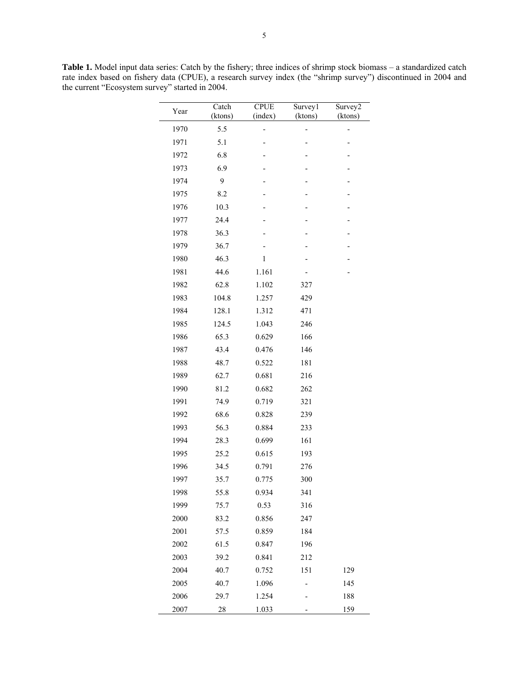| Year | Catch<br>(ktons) | <b>CPUE</b><br>(index) | Survey1<br>(ktons) | Survey2<br>(ktons) |
|------|------------------|------------------------|--------------------|--------------------|
| 1970 | 5.5              |                        |                    |                    |
| 1971 | 5.1              |                        |                    |                    |
| 1972 | 6.8              |                        |                    |                    |
| 1973 | 6.9              |                        |                    |                    |
| 1974 | 9                |                        |                    |                    |
| 1975 | 8.2              |                        |                    |                    |
| 1976 | 10.3             |                        |                    |                    |
| 1977 | 24.4             |                        |                    |                    |
| 1978 | 36.3             |                        |                    |                    |
| 1979 | 36.7             |                        |                    |                    |
| 1980 | 46.3             | 1                      |                    |                    |
| 1981 | 44.6             | 1.161                  |                    |                    |
| 1982 | 62.8             | 1.102                  | 327                |                    |
| 1983 | 104.8            | 1.257                  | 429                |                    |
| 1984 | 128.1            | 1.312                  | 471                |                    |
| 1985 | 124.5            | 1.043                  | 246                |                    |
| 1986 | 65.3             | 0.629                  | 166                |                    |
| 1987 | 43.4             | 0.476                  | 146                |                    |
| 1988 | 48.7             | 0.522                  | 181                |                    |
| 1989 | 62.7             | 0.681                  | 216                |                    |
| 1990 | 81.2             | 0.682                  | 262                |                    |
| 1991 | 74.9             | 0.719                  | 321                |                    |
| 1992 | 68.6             | 0.828                  | 239                |                    |
| 1993 | 56.3             | 0.884                  | 233                |                    |
| 1994 | 28.3             | 0.699                  | 161                |                    |
| 1995 | 25.2             | 0.615                  | 193                |                    |
| 1996 | 34.5             | 0.791                  | 276                |                    |
| 1997 | 35.7             | 0.775                  | 300                |                    |
| 1998 | 55.8             | 0.934                  | 341                |                    |
| 1999 | 75.7             | 0.53                   | 316                |                    |
| 2000 | 83.2             | 0.856                  | 247                |                    |
| 2001 | 57.5             | 0.859                  | 184                |                    |
| 2002 | 61.5             | 0.847                  | 196                |                    |
| 2003 | 39.2             | 0.841                  | 212                |                    |
| 2004 | 40.7             | 0.752                  | 151                | 129                |
| 2005 | 40.7             | 1.096                  |                    | 145                |
| 2006 | 29.7             | 1.254                  |                    | 188                |
| 2007 | 28               | 1.033                  |                    | 159                |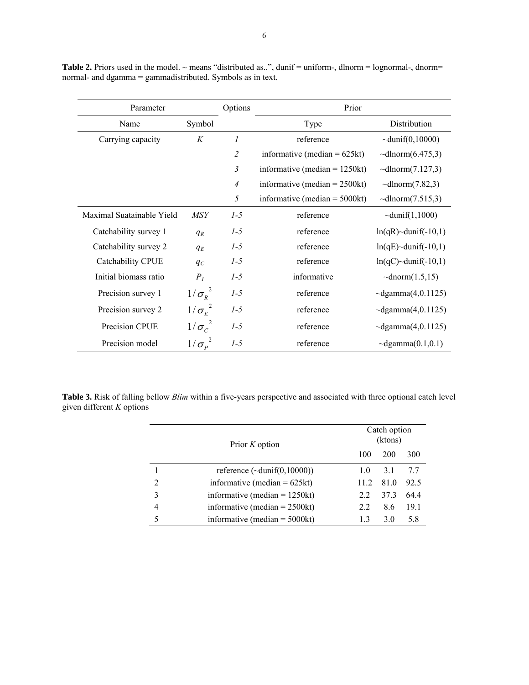| Parameter                 |                      | Options        | Prior                            |                             |  |
|---------------------------|----------------------|----------------|----------------------------------|-----------------------------|--|
| Symbol<br>Name            |                      |                | Type                             | Distribution                |  |
| Carrying capacity         | K                    | 1              | reference                        | $\sim$ dunif(0,10000)       |  |
|                           |                      | $\overline{2}$ | informative (median $= 625kt$ )  | $\sim$ dlnorm $(6.475,3)$   |  |
|                           |                      | 3              | informative (median $= 1250kt$ ) | $\sim$ dlnorm $(7.127,3)$   |  |
|                           |                      | $\overline{4}$ | informative (median $= 2500kt$ ) | $\sim$ dlnorm $(7.82,3)$    |  |
|                           |                      | 5              | informative (median $=$ 5000kt)  | $\sim$ dlnorm(7.515,3)      |  |
| Maximal Suatainable Yield | <b>MSY</b>           | $1-5$          | reference                        | $\sim$ dunif(1,1000)        |  |
| Catchability survey 1     | $q_R$                | $1-5$          | reference                        | $ln(qR)$ ~dunif(-10,1)      |  |
| Catchability survey 2     | $q_E$                | $1-5$          | reference                        | $ln(qE)$ ~dunif(-10,1)      |  |
| Catchability CPUE         | $q_C$                | $1-5$          | reference                        | $ln(qC)$ ~dunif(-10,1)      |  |
| Initial biomass ratio     | P <sub>I</sub>       | $1 - 5$        | informative                      | $\sim$ dnorm $(1.5,15)$     |  |
| Precision survey 1        | $1/\sigma_{R}^{2}$   | $1-5$          | reference                        | $\sim$ dgamma $(4, 0.1125)$ |  |
| Precision survey 2        | $1/\sigma_{\rm E}^2$ | $1-5$          | reference                        | $\sim$ dgamma $(4, 0.1125)$ |  |
| Precision CPUE            | $1/\sigma_c^2$       | $1-5$          | reference                        | $\sim$ dgamma $(4, 0.1125)$ |  |
| Precision model           | $1/\sigma_p^2$       | $1-5$          | reference                        | $\sim$ dgamma $(0.1, 0.1)$  |  |

Table 2. Priors used in the model. ~ means "distributed as..", dunif = uniform-, dlnorm = lognormal-, dnorm= normal- and dgamma = gammadistributed. Symbols as in text.

**Table 3.** Risk of falling bellow *Blim* within a five-years perspective and associated with three optional catch level given different *K* options

|   | Prior K option                       |      | Catch option<br>(ktons) |      |  |  |
|---|--------------------------------------|------|-------------------------|------|--|--|
|   |                                      | 100  | 200                     | 300  |  |  |
|   | reference $(\sim$ dunif $(0,10000))$ | 10   | 3.1                     | 77   |  |  |
| 2 | informative (median = $625kt$ )      | 11.2 | 81.0                    | 92.5 |  |  |
| 3 | informative (median $= 1250kt$ )     | 2.2  | 37.3                    | 644  |  |  |
| 4 | informative (median $= 2500kt$ )     | 22   | 8.6                     | 19.1 |  |  |
| 5 | informative (median $=$ 5000kt)      | 13   | 30                      | 58   |  |  |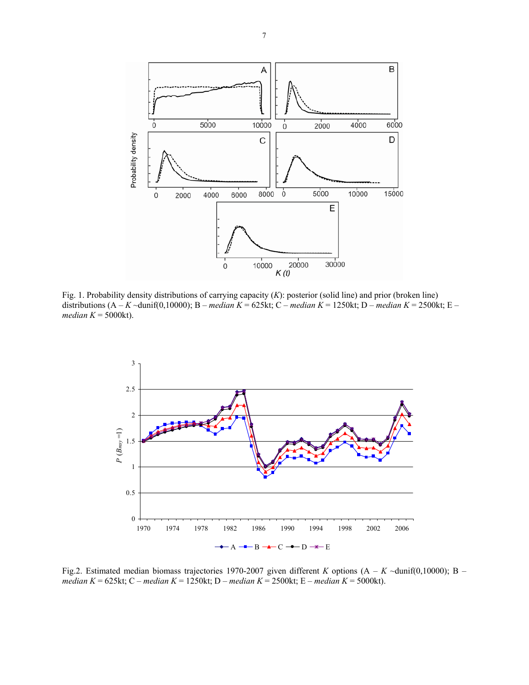

Fig. 1. Probability density distributions of carrying capacity (*K*): posterior (solid line) and prior (broken line) distributions (A – *K* ~dunif(0,10000); B – *median K* = 625kt; C – *median K* = 1250kt; D – *median K* = 2500kt; E – *median K* = 5000kt).



Fig.2. Estimated median biomass trajectories 1970-2007 given different *K* options (A – *K* ~dunif(0,10000); B – *median K* = 625kt; C – *median K* = 1250kt; D – *median K* = 2500kt; E – *median K* = 5000kt).